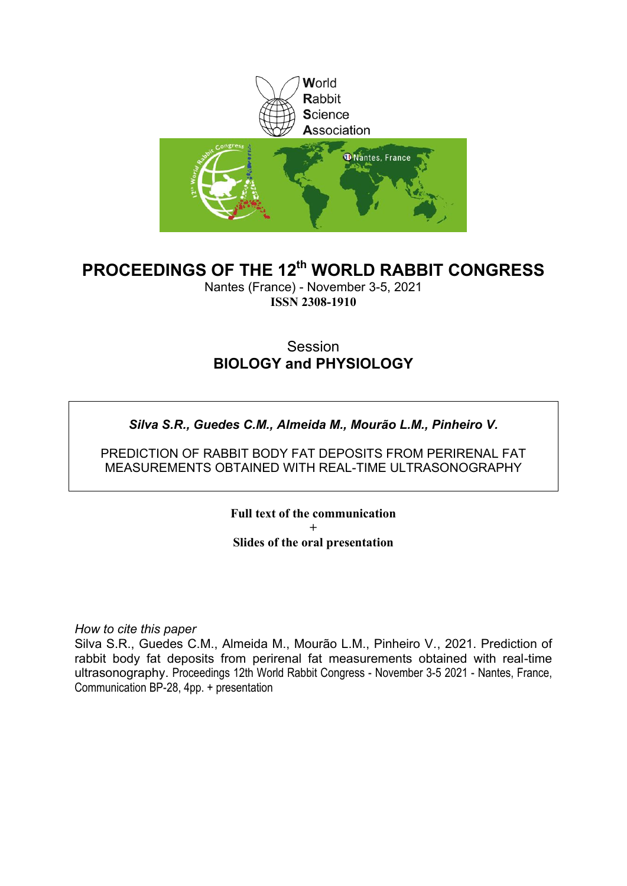

## **PROCEEDINGS OF THE 12th WORLD RABBIT CONGRESS**

Nantes (France) - November 3-5, 2021 **ISSN 2308-1910**

### **Session BIOLOGY and PHYSIOLOGY**

### *Silva S.R., Guedes C.M., Almeida M., Mourão L.M., Pinheiro V.*

PREDICTION OF RABBIT BODY FAT DEPOSITS FROM PERIRENAL FAT MEASUREMENTS OBTAINED WITH REAL-TIME ULTRASONOGRAPHY

> **Full text of the communication + Slides of the oral presentation**

*How to cite this paper*

Silva S.R., Guedes C.M., Almeida M., Mourão L.M., Pinheiro V*.*, 2021. Prediction of rabbit body fat deposits from perirenal fat measurements obtained with real-time ultrasonography. Proceedings 12th World Rabbit Congress - November 3-5 2021 - Nantes, France, Communication BP-28, 4pp. + presentation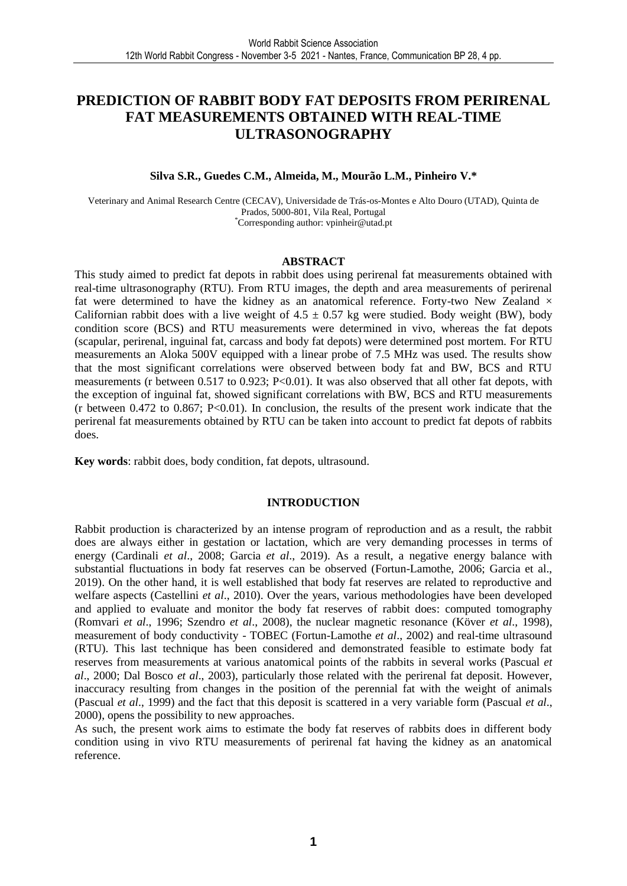### **PREDICTION OF RABBIT BODY FAT DEPOSITS FROM PERIRENAL FAT MEASUREMENTS OBTAINED WITH REAL-TIME ULTRASONOGRAPHY**

#### **Silva S.R., Guedes C.M., Almeida, M., Mourão L.M., Pinheiro V.\***

Veterinary and Animal Research Centre (CECAV), Universidade de Trás-os-Montes e Alto Douro (UTAD), Quinta de Prados, 5000-801, Vila Real, Portugal \*Corresponding author: vpinheir@utad.pt

#### **ABSTRACT**

This study aimed to predict fat depots in rabbit does using perirenal fat measurements obtained with real-time ultrasonography (RTU). From RTU images, the depth and area measurements of perirenal fat were determined to have the kidney as an anatomical reference. Forty-two New Zealand  $\times$ Californian rabbit does with a live weight of  $4.5 \pm 0.57$  kg were studied. Body weight (BW), body condition score (BCS) and RTU measurements were determined in vivo, whereas the fat depots (scapular, perirenal, inguinal fat, carcass and body fat depots) were determined post mortem. For RTU measurements an Aloka 500V equipped with a linear probe of 7.5 MHz was used. The results show that the most significant correlations were observed between body fat and BW, BCS and RTU measurements (r between 0.517 to 0.923; P<0.01). It was also observed that all other fat depots, with the exception of inguinal fat, showed significant correlations with BW, BCS and RTU measurements (r between 0.472 to 0.867; P<0.01). In conclusion, the results of the present work indicate that the perirenal fat measurements obtained by RTU can be taken into account to predict fat depots of rabbits does.

**Key words**: rabbit does, body condition, fat depots, ultrasound.

#### **INTRODUCTION**

Rabbit production is characterized by an intense program of reproduction and as a result, the rabbit does are always either in gestation or lactation, which are very demanding processes in terms of energy (Cardinali *et al*., 2008; Garcia *et al*., 2019). As a result, a negative energy balance with substantial fluctuations in body fat reserves can be observed (Fortun-Lamothe, 2006; Garcia et al., 2019). On the other hand, it is well established that body fat reserves are related to reproductive and welfare aspects (Castellini *et al*., 2010). Over the years, various methodologies have been developed and applied to evaluate and monitor the body fat reserves of rabbit does: computed tomography (Romvari *et al*., 1996; Szendro *et al*., 2008), the nuclear magnetic resonance (Köver *et al*., 1998), measurement of body conductivity - TOBEC (Fortun-Lamothe *et al*., 2002) and real-time ultrasound (RTU). This last technique has been considered and demonstrated feasible to estimate body fat reserves from measurements at various anatomical points of the rabbits in several works (Pascual *et al*., 2000; Dal Bosco *et al*., 2003), particularly those related with the perirenal fat deposit. However, inaccuracy resulting from changes in the position of the perennial fat with the weight of animals (Pascual *et al*., 1999) and the fact that this deposit is scattered in a very variable form (Pascual *et al*., 2000), opens the possibility to new approaches.

As such, the present work aims to estimate the body fat reserves of rabbits does in different body condition using in vivo RTU measurements of perirenal fat having the kidney as an anatomical reference.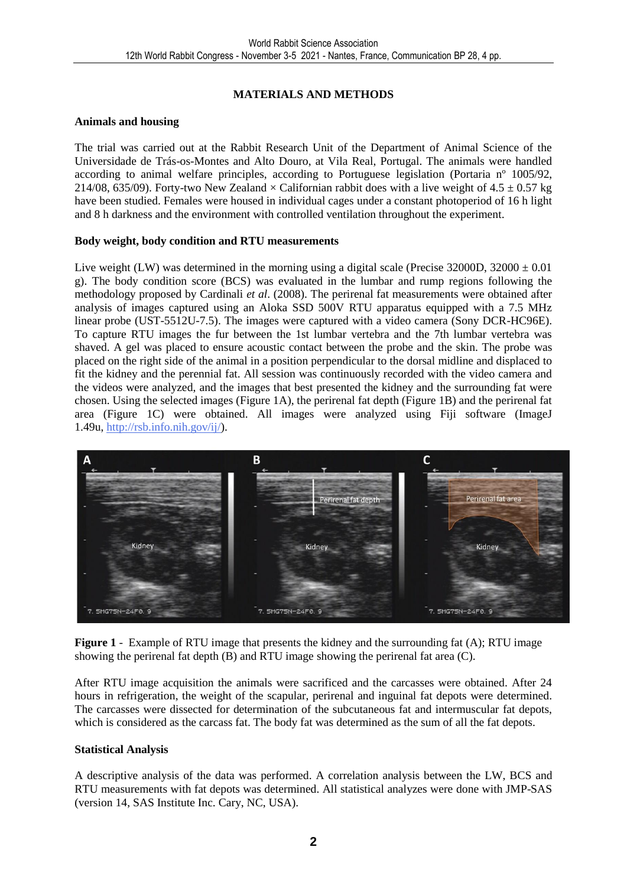#### **MATERIALS AND METHODS**

#### **Animals and housing**

The trial was carried out at the Rabbit Research Unit of the Department of Animal Science of the Universidade de Trás-os-Montes and Alto Douro, at Vila Real, Portugal. The animals were handled according to animal welfare principles, according to Portuguese legislation (Portaria nº 1005/92, 214/08, 635/09). Forty-two New Zealand  $\times$  Californian rabbit does with a live weight of 4.5  $\pm$  0.57 kg have been studied. Females were housed in individual cages under a constant photoperiod of 16 h light and 8 h darkness and the environment with controlled ventilation throughout the experiment.

#### **Body weight, body condition and RTU measurements**

Live weight (LW) was determined in the morning using a digital scale (Precise 32000D,  $32000 \pm 0.01$ g). The body condition score (BCS) was evaluated in the lumbar and rump regions following the methodology proposed by Cardinali *et al*. (2008). The perirenal fat measurements were obtained after analysis of images captured using an Aloka SSD 500V RTU apparatus equipped with a 7.5 MHz linear probe (UST-5512U-7.5). The images were captured with a video camera (Sony DCR-HC96E). To capture RTU images the fur between the 1st lumbar vertebra and the 7th lumbar vertebra was shaved. A gel was placed to ensure acoustic contact between the probe and the skin. The probe was placed on the right side of the animal in a position perpendicular to the dorsal midline and displaced to fit the kidney and the perennial fat. All session was continuously recorded with the video camera and the videos were analyzed, and the images that best presented the kidney and the surrounding fat were chosen. Using the selected images (Figure 1A), the perirenal fat depth (Figure 1B) and the perirenal fat area (Figure 1C) were obtained. All images were analyzed using Fiji software (ImageJ 1.49u, [http://rsb.info.nih.gov/ij/\)](http://rsb.info.nih.gov/ij/).



**Figure 1** - Example of RTU image that presents the kidney and the surrounding fat (A); RTU image showing the perirenal fat depth (B) and RTU image showing the perirenal fat area (C).

After RTU image acquisition the animals were sacrificed and the carcasses were obtained. After 24 hours in refrigeration, the weight of the scapular, perirenal and inguinal fat depots were determined. The carcasses were dissected for determination of the subcutaneous fat and intermuscular fat depots, which is considered as the carcass fat. The body fat was determined as the sum of all the fat depots.

#### **Statistical Analysis**

A descriptive analysis of the data was performed. A correlation analysis between the LW, BCS and RTU measurements with fat depots was determined. All statistical analyzes were done with JMP-SAS (version 14, SAS Institute Inc. Cary, NC, USA).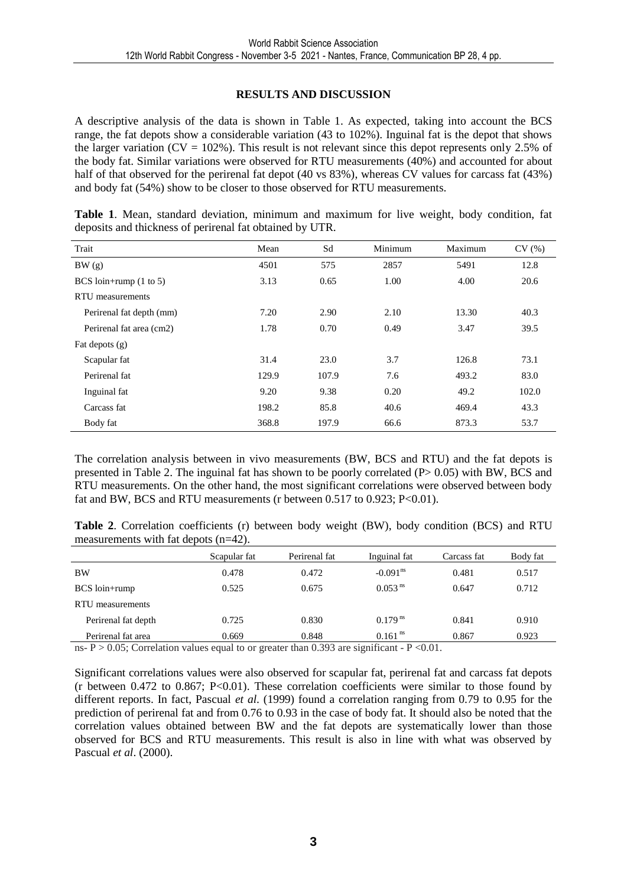#### **RESULTS AND DISCUSSION**

A descriptive analysis of the data is shown in Table 1. As expected, taking into account the BCS range, the fat depots show a considerable variation (43 to 102%). Inguinal fat is the depot that shows the larger variation ( $CV = 102\%$ ). This result is not relevant since this depot represents only 2.5% of the body fat. Similar variations were observed for RTU measurements (40%) and accounted for about half of that observed for the perirenal fat depot (40 vs 83%), whereas CV values for carcass fat (43%) and body fat (54%) show to be closer to those observed for RTU measurements.

|  |                                                          |  | Table 1. Mean, standard deviation, minimum and maximum for live weight, body condition, fat |  |  |  |
|--|----------------------------------------------------------|--|---------------------------------------------------------------------------------------------|--|--|--|
|  | deposits and thickness of perirenal fat obtained by UTR. |  |                                                                                             |  |  |  |

| Trait                             | Mean  | Sd    | Minimum | Maximum | CV(%) |
|-----------------------------------|-------|-------|---------|---------|-------|
| BW(g)                             | 4501  | 575   | 2857    | 5491    | 12.8  |
| BCS loin+rump $(1 \text{ to } 5)$ | 3.13  | 0.65  | 1.00    | 4.00    | 20.6  |
| RTU measurements                  |       |       |         |         |       |
| Perirenal fat depth (mm)          | 7.20  | 2.90  | 2.10    | 13.30   | 40.3  |
| Perirenal fat area (cm2)          | 1.78  | 0.70  | 0.49    | 3.47    | 39.5  |
| Fat depots $(g)$                  |       |       |         |         |       |
| Scapular fat                      | 31.4  | 23.0  | 3.7     | 126.8   | 73.1  |
| Perirenal fat                     | 129.9 | 107.9 | 7.6     | 493.2   | 83.0  |
| Inguinal fat                      | 9.20  | 9.38  | 0.20    | 49.2    | 102.0 |
| Carcass fat                       | 198.2 | 85.8  | 40.6    | 469.4   | 43.3  |
| Body fat                          | 368.8 | 197.9 | 66.6    | 873.3   | 53.7  |

The correlation analysis between in vivo measurements (BW, BCS and RTU) and the fat depots is presented in Table 2. The inguinal fat has shown to be poorly correlated (P> 0.05) with BW, BCS and RTU measurements. On the other hand, the most significant correlations were observed between body fat and BW, BCS and RTU measurements (r between 0.517 to 0.923; P<0.01).

**Table 2**. Correlation coefficients (r) between body weight (BW), body condition (BCS) and RTU measurements with fat depots (n=42).

|                                                                                                                                                                                                                                                                                                                                   | Scapular fat | Perirenal fat | Inguinal fat           | Carcass fat | Body fat |
|-----------------------------------------------------------------------------------------------------------------------------------------------------------------------------------------------------------------------------------------------------------------------------------------------------------------------------------|--------------|---------------|------------------------|-------------|----------|
| <b>BW</b>                                                                                                                                                                                                                                                                                                                         | 0.478        | 0.472         | $-0.091$ <sup>ns</sup> | 0.481       | 0.517    |
| BCS loin+rump                                                                                                                                                                                                                                                                                                                     | 0.525        | 0.675         | $0.053$ <sup>ns</sup>  | 0.647       | 0.712    |
| RTU measurements                                                                                                                                                                                                                                                                                                                  |              |               |                        |             |          |
| Perirenal fat depth                                                                                                                                                                                                                                                                                                               | 0.725        | 0.830         | $0.179$ <sup>ns</sup>  | 0.841       | 0.910    |
| Perirenal fat area                                                                                                                                                                                                                                                                                                                | 0.669        | 0.848         | $0.161$ <sup>ns</sup>  | 0.867       | 0.923    |
| $\mathbf{D}$ . $\mathbf{D}$ $\mathbf{D}$ $\mathbf{D}$ $\mathbf{D}$ $\mathbf{D}$ $\mathbf{D}$ $\mathbf{D}$ $\mathbf{D}$ $\mathbf{D}$ $\mathbf{D}$ $\mathbf{D}$ $\mathbf{D}$ $\mathbf{D}$ $\mathbf{D}$ $\mathbf{D}$ $\mathbf{D}$ $\mathbf{D}$ $\mathbf{D}$ $\mathbf{D}$ $\mathbf{D}$ $\mathbf{D}$ $\mathbf{D}$ $\mathbf{D}$ $\math$ |              |               |                        |             |          |

ns- P  $> 0.05$ ; Correlation values equal to or greater than 0.393 are significant - P <0.01.

Significant correlations values were also observed for scapular fat, perirenal fat and carcass fat depots (r between  $0.472$  to  $0.867$ ; P<0.01). These correlation coefficients were similar to those found by different reports. In fact, Pascual *et al*. (1999) found a correlation ranging from 0.79 to 0.95 for the prediction of perirenal fat and from 0.76 to 0.93 in the case of body fat. It should also be noted that the correlation values obtained between BW and the fat depots are systematically lower than those observed for BCS and RTU measurements. This result is also in line with what was observed by Pascual *et al*. (2000).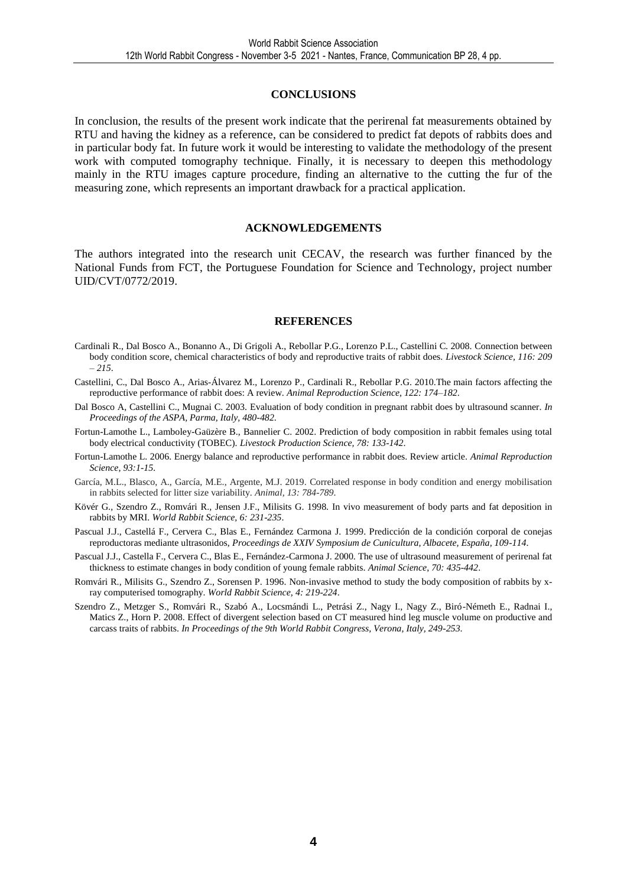#### **CONCLUSIONS**

In conclusion, the results of the present work indicate that the perirenal fat measurements obtained by RTU and having the kidney as a reference, can be considered to predict fat depots of rabbits does and in particular body fat. In future work it would be interesting to validate the methodology of the present work with computed tomography technique. Finally, it is necessary to deepen this methodology mainly in the RTU images capture procedure, finding an alternative to the cutting the fur of the measuring zone, which represents an important drawback for a practical application.

#### **ACKNOWLEDGEMENTS**

The authors integrated into the research unit CECAV, the research was further financed by the National Funds from FCT, the Portuguese Foundation for Science and Technology, project number UID/CVT/0772/2019.

#### **REFERENCES**

- Cardinali R., Dal Bosco A., Bonanno A., Di Grigoli A., Rebollar P.G., Lorenzo P.L., Castellini C. 2008. Connection between body condition score, chemical characteristics of body and reproductive traits of rabbit does. *Livestock Science, 116: 209 – 215*.
- Castellini, C., Dal Bosco A., Arias-Álvarez M., Lorenzo P., Cardinali R., Rebollar P.G. 2010.The main factors affecting the reproductive performance of rabbit does: A review. *Animal Reproduction Science, 122: 174–182*.
- Dal Bosco A, Castellini C., Mugnai C. 2003. Evaluation of body condition in pregnant rabbit does by ultrasound scanner. *In Proceedings of the ASPA, Parma, Italy, 480-482*.
- Fortun-Lamothe L., Lamboley-Gaüzère B., Bannelier C. 2002. Prediction of body composition in rabbit females using total body electrical conductivity (TOBEC). *Livestock Production Science, 78: 133-142*.
- Fortun-Lamothe L. 2006. Energy balance and reproductive performance in rabbit does. Review article. *Animal Reproduction Science, 93:1-15.*
- García, M.L., Blasco, A., García, M.E., Argente, M.J. 2019. Correlated response in body condition and energy mobilisation in rabbits selected for litter size variability. *Animal, 13: 784-789*.
- Kövér G., Szendro Z., Romvári R., Jensen J.F., Milisits G. 1998. In vivo measurement of body parts and fat deposition in rabbits by MRI. *World Rabbit Science, 6: 231-235*.
- Pascual J.J., Castellá F., Cervera C., Blas E., Fernández Carmona J. 1999. Predicción de la condición corporal de conejas reproductoras mediante ultrasonidos, *Proceedings de XXIV Symposium de Cunicultura, Albacete, España, 109-114*.
- Pascual J.J., Castella F., Cervera C., Blas E., Fernández-Carmona J. 2000. The use of ultrasound measurement of perirenal fat thickness to estimate changes in body condition of young female rabbits. *Animal Science*, *70: 435-442*.
- Romvári R., Milisits G., Szendro Z., Sorensen P. 1996. Non-invasive method to study the body composition of rabbits by xray computerised tomography. *World Rabbit Science, 4: 219-224*.
- Szendro Z., Metzger S., Romvári R., Szabó A., Locsmándi L., Petrási Z., Nagy I., Nagy Z., Biró-Németh E., Radnai I., Matics Z., Horn P. 2008. Effect of divergent selection based on CT measured hind leg muscle volume on productive and carcass traits of rabbits. *In Proceedings of the 9th World Rabbit Congress, Verona, Italy, 249-253*.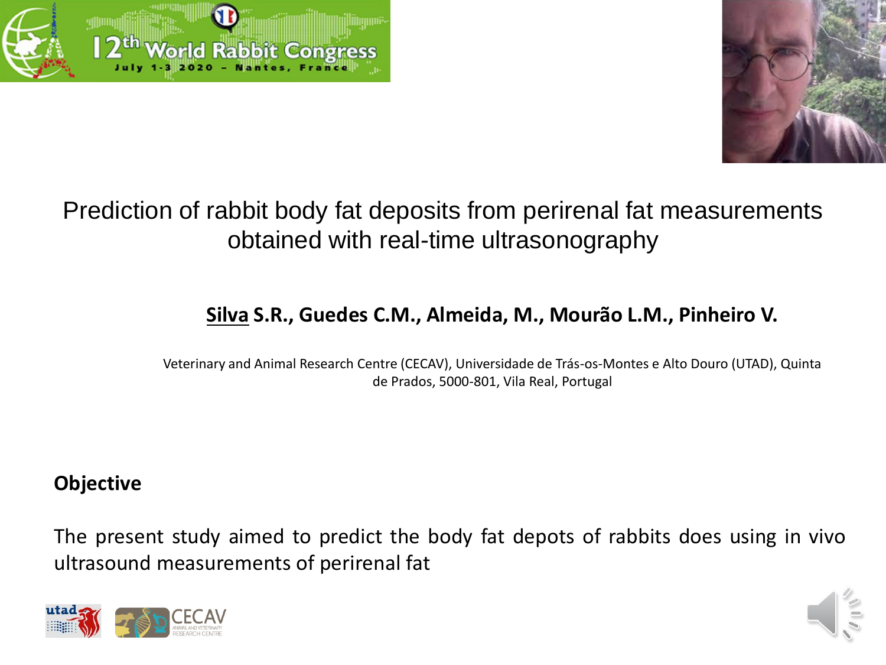



# Prediction of rabbit body fat deposits from perirenal fat measurements obtained with real-time ultrasonography

# **Silva S.R., Guedes C.M., Almeida, M., Mourão L.M., Pinheiro V.**

Veterinary and Animal Research Centre (CECAV), Universidade de Trás-os-Montes e Alto Douro (UTAD), Quinta de Prados, 5000-801, Vila Real, Portugal

## **Objective**

The present study aimed to predict the body fat depots of rabbits does using in vivo ultrasound measurements of perirenal fat



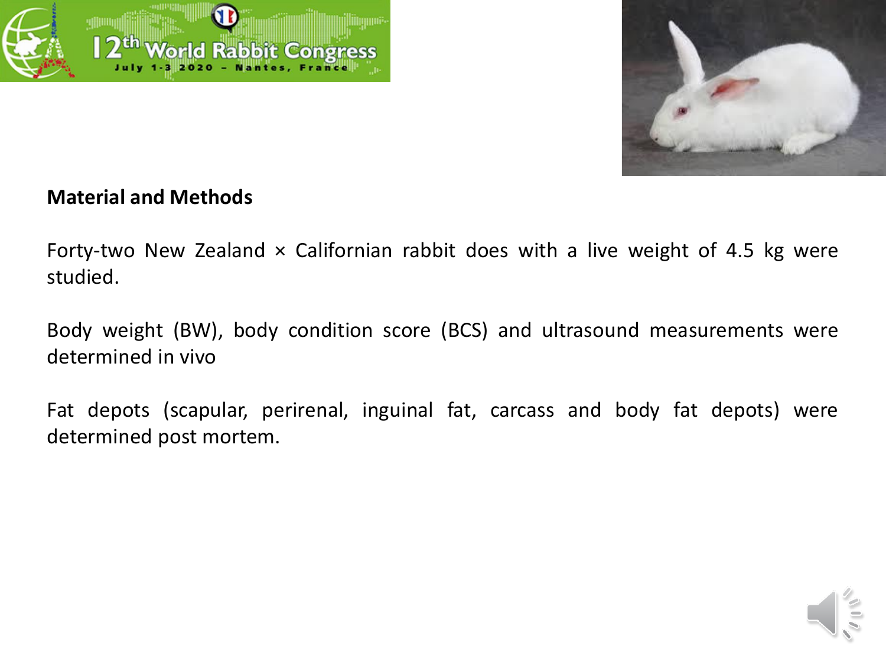



### **Material and Methods**

Forty-two New Zealand  $\times$  Californian rabbit does with a live weight of 4.5 kg were studied.

Body weight (BW), body condition score (BCS) and ultrasound measurements were determined in vivo

Fat depots (scapular, perirenal, inguinal fat, carcass and body fat depots) were determined post mortem.

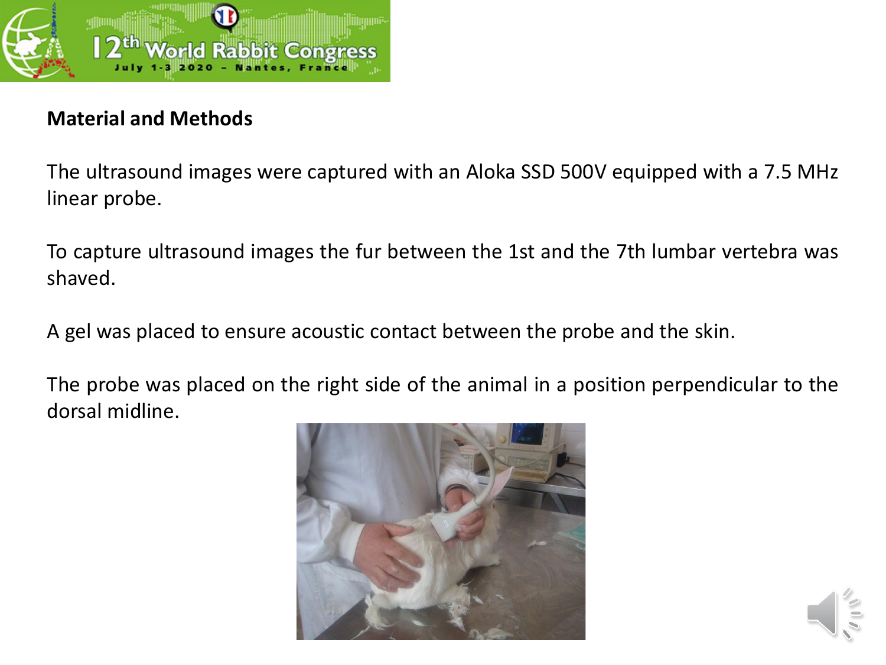

## **Material and Methods**

The ultrasound images were captured with an Aloka SSD 500V equipped with a 7.5 MHz linear probe.

To capture ultrasound images the fur between the 1st and the 7th lumbar vertebra was shaved.

A gel was placed to ensure acoustic contact between the probe and the skin.

The probe was placed on the right side of the animal in a position perpendicular to the dorsal midline.



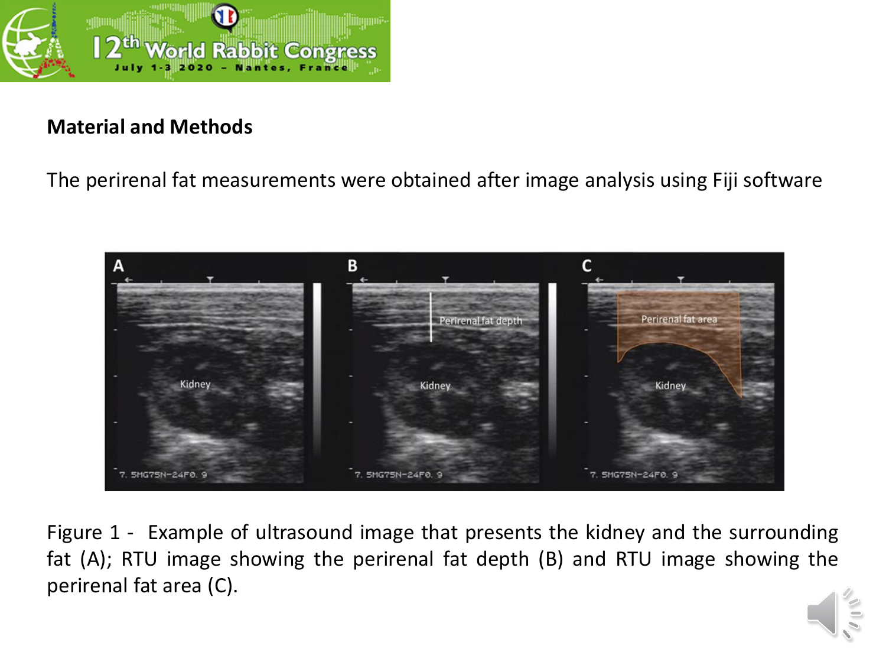

### **Material and Methods**

The perirenal fat measurements were obtained after image analysis using Fiji software



Figure 1 - Example of ultrasound image that presents the kidney and the surrounding fat (A); RTU image showing the perirenal fat depth (B) and RTU image showing the perirenal fat area (C).

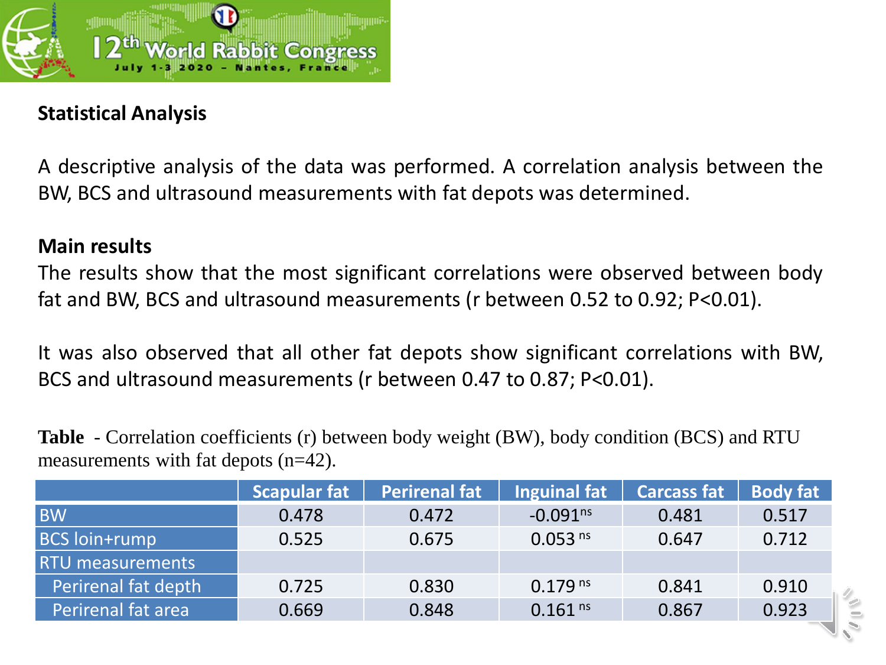

## **Statistical Analysis**

A descriptive analysis of the data was performed. A correlation analysis between the BW, BCS and ultrasound measurements with fat depots was determined.

### **Main results**

The results show that the most significant correlations were observed between body fat and BW, BCS and ultrasound measurements (r between 0.52 to 0.92; P<0.01).

It was also observed that all other fat depots show significant correlations with BW, BCS and ultrasound measurements (r between 0.47 to 0.87; P<0.01).

**Table** - Correlation coefficients (r) between body weight (BW), body condition (BCS) and RTU measurements with fat depots (n=42).

|                         | <b>Scapular fat</b> | <b>Perirenal fat</b> | <b>Inguinal fat</b>   | Carcass fat   Body fat |       |
|-------------------------|---------------------|----------------------|-----------------------|------------------------|-------|
| <b>BW</b>               | 0.478               | 0.472                | $-0.091ns$            | 0.481                  | 0.517 |
| <b>BCS loin+rump</b>    | 0.525               | 0.675                | 0.053 <sup>ns</sup>   | 0.647                  | 0.712 |
| <b>RTU</b> measurements |                     |                      |                       |                        |       |
| Perirenal fat depth     | 0.725               | 0.830                | $0.179$ <sup>ns</sup> | 0.841                  | 0.910 |
| Perirenal fat area      | 0.669               | 0.848                | $0.161$ <sup>ns</sup> | 0.867                  | 0.923 |